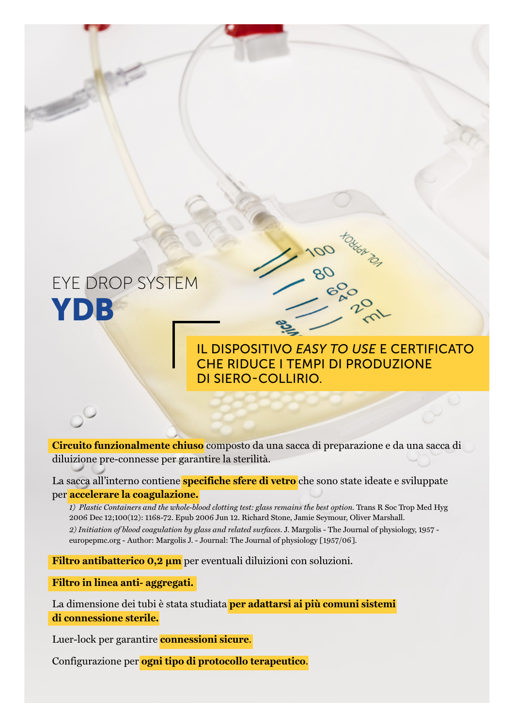

**Circuito funzionalmente chiuso** composto da una sacca di preparazione e da una sacca di diluizione pre-connesse per garantire la sterilità.

La sacca all'interno contiene **specifiche sfere di vetro** che sono state ideate e sviluppate per **accelerare la coagulazione.** 

*1) Plastic Containers and the whole-blood clotting test: glass remains the best option.* Trans R Soc Trop Med Hyg 2006 Dec 12;100(12): 1168-72. Epub 2006 Jun 12. Richard Stone, Jamie Seymour, Oliver Marshall. *2) Initiation of blood coagulation by glass and related surfaces*. J. Margolis - The Journal of physiology, 1957 europepmc.org - Author: Margolis J. - Journal: The Journal of physiology [1957/06].

**Filtro antibatterico 0,2 µm** per eventuali diluizioni con soluzioni.

**Filtro in linea anti- aggregati.**

La dimensione dei tubi è stata studiata **per adattarsi ai più comuni sistemi di connessione sterile.**

Luer-lock per garantire **connessioni sicure**.

Configurazione per **ogni tipo di protocollo terapeutico**.